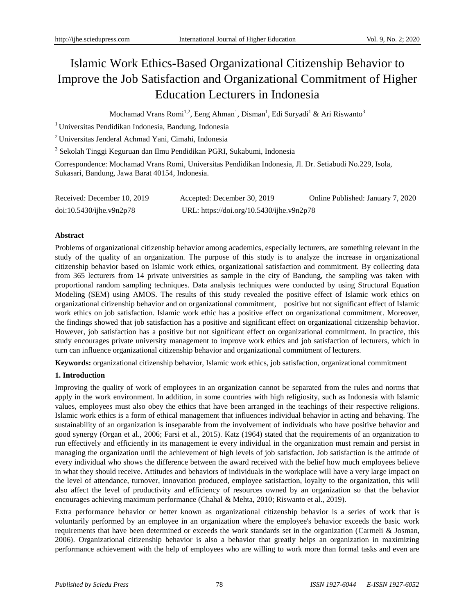# Islamic Work Ethics-Based Organizational Citizenship Behavior to Improve the Job Satisfaction and Organizational Commitment of Higher Education Lecturers in Indonesia

Mochamad Vrans Romi<sup>1,2</sup>, Eeng Ahman<sup>1</sup>, Disman<sup>1</sup>, Edi Suryadi<sup>1</sup> & Ari Riswanto<sup>3</sup>

<sup>1</sup> Universitas Pendidikan Indonesia, Bandung, Indonesia

<sup>2</sup> Universitas Jenderal Achmad Yani, Cimahi, Indonesia

<sup>3</sup> Sekolah Tinggi Keguruan dan Ilmu Pendidikan PGRI, Sukabumi, Indonesia

Correspondence: Mochamad Vrans Romi, Universitas Pendidikan Indonesia, Jl. Dr. Setiabudi No.229, Isola, Sukasari, Bandung, Jawa Barat 40154, Indonesia.

| Received: December 10, 2019 | Accepted: December 30, 2019               | Online Published: January 7, 2020 |
|-----------------------------|-------------------------------------------|-----------------------------------|
| doi:10.5430/ijhe.v9n2p78    | URL: https://doi.org/10.5430/ijhe.v9n2p78 |                                   |

# **Abstract**

Problems of organizational citizenship behavior among academics, especially lecturers, are something relevant in the study of the quality of an organization. The purpose of this study is to analyze the increase in organizational citizenship behavior based on Islamic work ethics, organizational satisfaction and commitment. By collecting data from 365 lecturers from 14 private universities as sample in the city of Bandung, the sampling was taken with proportional random sampling techniques. Data analysis techniques were conducted by using Structural Equation Modeling (SEM) using AMOS. The results of this study revealed the positive effect of Islamic work ethics on organizational citizenship behavior and on organizational commitment, positive but not significant effect of Islamic work ethics on job satisfaction. Islamic work ethic has a positive effect on organizational commitment. Moreover, the findings showed that job satisfaction has a positive and significant effect on organizational citizenship behavior. However, job satisfaction has a positive but not significant effect on organizational commitment. In practice, this study encourages private university management to improve work ethics and job satisfaction of lecturers, which in turn can influence organizational citizenship behavior and organizational commitment of lecturers.

**Keywords:** organizational citizenship behavior, Islamic work ethics, job satisfaction, organizational commitment

# **1. Introduction**

Improving the quality of work of employees in an organization cannot be separated from the rules and norms that apply in the work environment. In addition, in some countries with high religiosity, such as Indonesia with Islamic values, employees must also obey the ethics that have been arranged in the teachings of their respective religions. Islamic work ethics is a form of ethical management that influences individual behavior in acting and behaving. The sustainability of an organization is inseparable from the involvement of individuals who have positive behavior and good synergy (Organ et al., 2006; Farsi et al., 2015). Katz (1964) stated that the requirements of an organization to run effectively and efficiently in its management ie every individual in the organization must remain and persist in managing the organization until the achievement of high levels of job satisfaction. Job satisfaction is the attitude of every individual who shows the difference between the award received with the belief how much employees believe in what they should receive. Attitudes and behaviors of individuals in the workplace will have a very large impact on the level of attendance, turnover, innovation produced, employee satisfaction, loyalty to the organization, this will also affect the level of productivity and efficiency of resources owned by an organization so that the behavior encourages achieving maximum performance (Chahal & Mehta, 2010; Riswanto et al., 2019).

Extra performance behavior or better known as organizational citizenship behavior is a series of work that is voluntarily performed by an employee in an organization where the employee's behavior exceeds the basic work requirements that have been determined or exceeds the work standards set in the organization (Carmeli & Josman, 2006). Organizational citizenship behavior is also a behavior that greatly helps an organization in maximizing performance achievement with the help of employees who are willing to work more than formal tasks and even are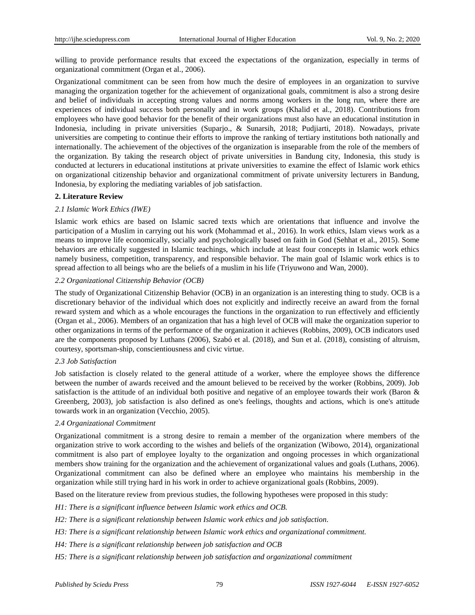willing to provide performance results that exceed the expectations of the organization, especially in terms of organizational commitment (Organ et al., 2006).

Organizational commitment can be seen from how much the desire of employees in an organization to survive managing the organization together for the achievement of organizational goals, commitment is also a strong desire and belief of individuals in accepting strong values and norms among workers in the long run, where there are experiences of individual success both personally and in work groups (Khalid et al., 2018). Contributions from employees who have good behavior for the benefit of their organizations must also have an educational institution in Indonesia, including in private universities (Suparjo., & Sunarsih, 2018; Pudjiarti, 2018). Nowadays, private universities are competing to continue their efforts to improve the ranking of tertiary institutions both nationally and internationally. The achievement of the objectives of the organization is inseparable from the role of the members of the organization. By taking the research object of private universities in Bandung city, Indonesia, this study is conducted at lecturers in educational institutions at private universities to examine the effect of Islamic work ethics on organizational citizenship behavior and organizational commitment of private university lecturers in Bandung, Indonesia, by exploring the mediating variables of job satisfaction.

#### **2. Literature Review**

#### *2.1 Islamic Work Ethics (IWE)*

Islamic work ethics are based on Islamic sacred texts which are orientations that influence and involve the participation of a Muslim in carrying out his work (Mohammad et al., 2016). In work ethics, Islam views work as a means to improve life economically, socially and psychologically based on faith in God (Sehhat et al., 2015). Some behaviors are ethically suggested in Islamic teachings, which include at least four concepts in Islamic work ethics namely business, competition, transparency, and responsible behavior. The main goal of Islamic work ethics is to spread affection to all beings who are the beliefs of a muslim in his life (Triyuwono and Wan, 2000).

### *2.2 Organizational Citizenship Behavior (OCB)*

The study of Organizational Citizenship Behavior (OCB) in an organization is an interesting thing to study. OCB is a discretionary behavior of the individual which does not explicitly and indirectly receive an award from the fornal reward system and which as a whole encourages the functions in the organization to run effectively and efficiently (Organ et al., 2006). Members of an organization that has a high level of OCB will make the organization superior to other organizations in terms of the performance of the organization it achieves (Robbins, 2009), OCB indicators used are the components proposed by Luthans (2006), Szabó et al. (2018), and Sun et al. (2018), consisting of altruism, courtesy, sportsman-ship, conscientiousness and civic virtue.

# *2.3 Job Satisfaction*

Job satisfaction is closely related to the general attitude of a worker, where the employee shows the difference between the number of awards received and the amount believed to be received by the worker (Robbins, 2009). Job satisfaction is the attitude of an individual both positive and negative of an employee towards their work (Baron & Greenberg, 2003), job satisfaction is also defined as one's feelings, thoughts and actions, which is one's attitude towards work in an organization (Vecchio, 2005).

#### *2.4 Organizational Commitment*

Organizational commitment is a strong desire to remain a member of the organization where members of the organization strive to work according to the wishes and beliefs of the organization (Wibowo, 2014), organizational commitment is also part of employee loyalty to the organization and ongoing processes in which organizational members show training for the organization and the achievement of organizational values and goals (Luthans, 2006). Organizational commitment can also be defined where an employee who maintains his membership in the organization while still trying hard in his work in order to achieve organizational goals (Robbins, 2009).

Based on the literature review from previous studies, the following hypotheses were proposed in this study:

- *H1: There is a significant influence between Islamic work ethics and OCB.*
- *H2: There is a significant relationship between Islamic work ethics and job satisfaction.*
- *H3: There is a significant relationship between Islamic work ethics and organizational commitment.*
- *H4: There is a significant relationship between job satisfaction and OCB*
- *H5: There is a significant relationship between job satisfaction and organizational commitment*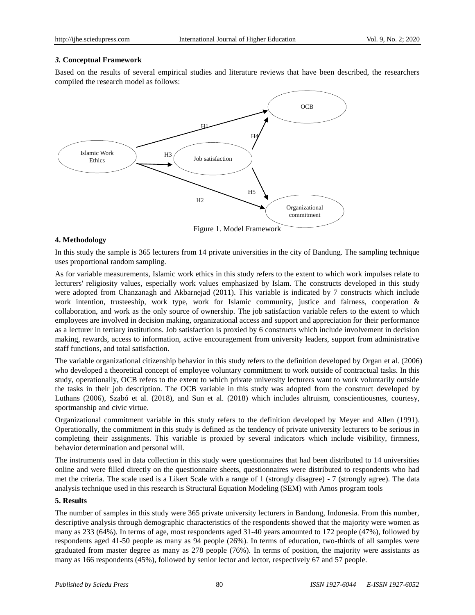#### *3.* **Conceptual Framework**

Based on the results of several empirical studies and literature reviews that have been described, the researchers compiled the research model as follows:



#### **4. Methodology**

In this study the sample is 365 lecturers from 14 private universities in the city of Bandung. The sampling technique uses proportional random sampling.

As for variable measurements, Islamic work ethics in this study refers to the extent to which work impulses relate to lecturers' religiosity values, especially work values emphasized by Islam. The constructs developed in this study were adopted from Chanzanagh and Akbarnejad (2011). This variable is indicated by 7 constructs which include work intention, trusteeship, work type, work for Islamic community, justice and fairness, cooperation & collaboration, and work as the only source of ownership. The job satisfaction variable refers to the extent to which employees are involved in decision making, organizational access and support and appreciation for their performance as a lecturer in tertiary institutions. Job satisfaction is proxied by 6 constructs which include involvement in decision making, rewards, access to information, active encouragement from university leaders, support from administrative staff functions, and total satisfaction.

The variable organizational citizenship behavior in this study refers to the definition developed by Organ et al. (2006) who developed a theoretical concept of employee voluntary commitment to work outside of contractual tasks. In this study, operationally, OCB refers to the extent to which private university lecturers want to work voluntarily outside the tasks in their job description. The OCB variable in this study was adopted from the construct developed by Luthans (2006), Szabó et al. (2018), and Sun et al. (2018) which includes altruism, conscientiousnes, courtesy, sportmanship and civic virtue.

Organizational commitment variable in this study refers to the definition developed by Meyer and Allen (1991). Operationally, the commitment in this study is defined as the tendency of private university lecturers to be serious in completing their assignments. This variable is proxied by several indicators which include visibility, firmness, behavior determination and personal will.

The instruments used in data collection in this study were questionnaires that had been distributed to 14 universities online and were filled directly on the questionnaire sheets, questionnaires were distributed to respondents who had met the criteria. The scale used is a Likert Scale with a range of 1 (strongly disagree) - 7 (strongly agree). The data analysis technique used in this research is Structural Equation Modeling (SEM) with Amos program tools

#### **5. Results**

The number of samples in this study were 365 private university lecturers in Bandung, Indonesia. From this number, descriptive analysis through demographic characteristics of the respondents showed that the majority were women as many as 233 (64%). In terms of age, most respondents aged 31-40 years amounted to 172 people (47%), followed by respondents aged 41-50 people as many as 94 people (26%). In terms of education, two-thirds of all samples were graduated from master degree as many as 278 people (76%). In terms of position, the majority were assistants as many as 166 respondents (45%), followed by senior lector and lector, respectively 67 and 57 people.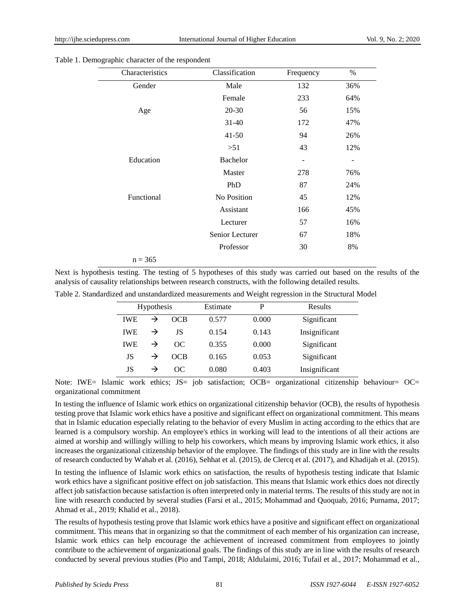#### Table 1. Demographic character of the respondent

| Characteristics | Classification     | Frequency | $\%$ |
|-----------------|--------------------|-----------|------|
| Gender          | Male               | 132       | 36%  |
|                 | Female             | 233       | 64%  |
| Age             | 20-30              | 56        | 15%  |
|                 | $31 - 40$          | 172       | 47%  |
|                 | $41 - 50$          | 94        | 26%  |
|                 | >51                | 43        | 12%  |
| Education       | <b>Bachelor</b>    | -         |      |
|                 | Master             | 278       | 76%  |
|                 | PhD                | 87        | 24%  |
| Functional      | <b>No Position</b> | 45        | 12%  |
|                 | Assistant          | 166       | 45%  |
|                 | Lecturer           | 57        | 16%  |
|                 | Senior Lecturer    | 67        | 18%  |
|                 | Professor          | 30        | 8%   |
| $n = 365$       |                    |           |      |

Next is hypothesis testing. The testing of 5 hypotheses of this study was carried out based on the results of the analysis of causality relationships between research constructs, with the following detailed results.

|  |  | Table 2. Standardized and unstandardized measurements and Weight regression in the Structural Model |  |  |  |  |
|--|--|-----------------------------------------------------------------------------------------------------|--|--|--|--|
|  |  |                                                                                                     |  |  |  |  |

| Hypothesis |               | Estimate<br>P |       | Results |               |
|------------|---------------|---------------|-------|---------|---------------|
| <b>IWE</b> | $\rightarrow$ | OCB           | 0.577 | 0.000   | Significant   |
| <b>IWE</b> | $\rightarrow$ | JS            | 0.154 | 0.143   | Insignificant |
| <b>IWE</b> | $\rightarrow$ | OC.           | 0.355 | 0.000   | Significant   |
| JS         | $\rightarrow$ | OCB           | 0.165 | 0.053   | Significant   |
| JS         | →             | OС            | 0.080 | 0.403   | Insignificant |

Note: IWE= Islamic work ethics; JS= job satisfaction; OCB= organizational citizenship behaviour= OC= organizational commitment

In testing the influence of Islamic work ethics on organizational citizenship behavior (OCB), the results of hypothesis testing prove that Islamic work ethics have a positive and significant effect on organizational commitment. This means that in Islamic education especially relating to the behavior of every Muslim in acting according to the ethics that are learned is a compulsory worship. An employee's ethics in working will lead to the intentions of all their actions are aimed at worship and willingly willing to help his coworkers, which means by improving Islamic work ethics, it also increases the organizational citizenship behavior of the employee. The findings of this study are in line with the results of research conducted by Wahab et al. (2016), Sehhat et al. (2015), de Clercq et al. (2017), and Khadijah et al. (2015).

In testing the influence of Islamic work ethics on satisfaction, the results of hypothesis testing indicate that Islamic work ethics have a significant positive effect on job satisfaction. This means that Islamic work ethics does not directly affect job satisfaction because satisfaction is often interpreted only in material terms. The results of this study are not in line with research conducted by several studies (Farsi et al., 2015; Mohammad and Quoquab, 2016; Purnama, 2017; Ahmad et al., 2019; Khalid et al., 2018).

The results of hypothesis testing prove that Islamic work ethics have a positive and significant effect on organizational commitment. This means that in organizing so that the commitment of each member of his organization can increase, Islamic work ethics can help encourage the achievement of increased commitment from employees to jointly contribute to the achievement of organizational goals. The findings of this study are in line with the results of research conducted by several previous studies (Pio and Tampi, 2018; Aldulaimi, 2016; Tufail et al., 2017; Mohammad et al.,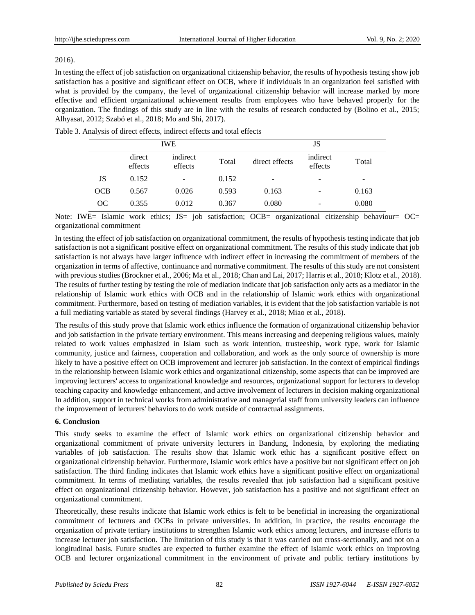## 2016).

In testing the effect of job satisfaction on organizational citizenship behavior, the results of hypothesis testing show job satisfaction has a positive and significant effect on OCB, where if individuals in an organization feel satisfied with what is provided by the company, the level of organizational citizenship behavior will increase marked by more effective and efficient organizational achievement results from employees who have behaved properly for the organization. The findings of this study are in line with the results of research conducted by (Bolino et al., 2015; Alhyasat, 2012; Szabó et al., 2018; Mo and Shi, 2017).

|     |                                          | <b>IWE</b> | JS    |                                       |   |       |
|-----|------------------------------------------|------------|-------|---------------------------------------|---|-------|
|     | indirect<br>direct<br>effects<br>effects |            | Total | indirect<br>direct effects<br>effects |   | Total |
| JS  | 0.152                                    | -          | 0.152 | -                                     | - | -     |
| OCB | 0.567                                    | 0.026      | 0.593 | 0.163                                 | - | 0.163 |
| OC. | 0.355                                    | 0.012      | 0.367 | 0.080                                 | - | 0.080 |

Table 3. Analysis of direct effects, indirect effects and total effects

Note: IWE= Islamic work ethics; JS= job satisfaction; OCB= organizational citizenship behaviour= OC= organizational commitment

In testing the effect of job satisfaction on organizational commitment, the results of hypothesis testing indicate that job satisfaction is not a significant positive effect on organizational commitment. The results of this study indicate that job satisfaction is not always have larger influence with indirect effect in increasing the commitment of members of the organization in terms of affective, continuance and normative commitment. The results of this study are not consistent with previous studies (Brockner et al., 2006; Ma et al., 2018; Chan and Lai, 2017; Harris et al., 2018; Klotz et al., 2018). The results of further testing by testing the role of mediation indicate that job satisfaction only acts as a mediator in the relationship of Islamic work ethics with OCB and in the relationship of Islamic work ethics with organizational commitment. Furthermore, based on testing of mediation variables, it is evident that the job satisfaction variable is not a full mediating variable as stated by several findings (Harvey et al., 2018; Miao et al., 2018).

The results of this study prove that Islamic work ethics influence the formation of organizational citizenship behavior and job satisfaction in the private tertiary environment. This means increasing and deepening religious values, mainly related to work values emphasized in Islam such as work intention, trusteeship, work type, work for Islamic community, justice and fairness, cooperation and collaboration, and work as the only source of ownership is more likely to have a positive effect on OCB improvement and lecturer job satisfaction. In the context of empirical findings in the relationship between Islamic work ethics and organizational citizenship, some aspects that can be improved are improving lecturers' access to organizational knowledge and resources, organizational support for lecturers to develop teaching capacity and knowledge enhancement, and active involvement of lecturers in decision making organizational In addition, support in technical works from administrative and managerial staff from university leaders can influence the improvement of lecturers' behaviors to do work outside of contractual assignments.

# **6. Conclusion**

This study seeks to examine the effect of Islamic work ethics on organizational citizenship behavior and organizational commitment of private university lecturers in Bandung, Indonesia, by exploring the mediating variables of job satisfaction. The results show that Islamic work ethic has a significant positive effect on organizational citizenship behavior. Furthermore, Islamic work ethics have a positive but not significant effect on job satisfaction. The third finding indicates that Islamic work ethics have a significant positive effect on organizational commitment. In terms of mediating variables, the results revealed that job satisfaction had a significant positive effect on organizational citizenship behavior. However, job satisfaction has a positive and not significant effect on organizational commitment.

Theoretically, these results indicate that Islamic work ethics is felt to be beneficial in increasing the organizational commitment of lecturers and OCBs in private universities. In addition, in practice, the results encourage the organization of private tertiary institutions to strengthen Islamic work ethics among lecturers, and increase efforts to increase lecturer job satisfaction. The limitation of this study is that it was carried out cross-sectionally, and not on a longitudinal basis. Future studies are expected to further examine the effect of Islamic work ethics on improving OCB and lecturer organizational commitment in the environment of private and public tertiary institutions by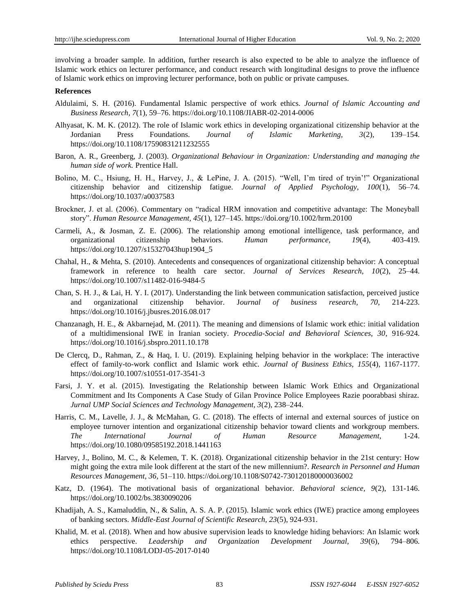involving a broader sample. In addition, further research is also expected to be able to analyze the influence of Islamic work ethics on lecturer performance, and conduct research with longitudinal designs to prove the influence of Islamic work ethics on improving lecturer performance, both on public or private campuses.

#### **References**

- Aldulaimi, S. H. (2016). Fundamental Islamic perspective of work ethics. *Journal of Islamic Accounting and Business Research, 7*(1), 59–76. https://doi.org/10.1108/JIABR-02-2014-0006
- Alhyasat, K. M. K. (2012). The role of Islamic work ethics in developing organizational citizenship behavior at the Jordanian Press Foundations. *Journal of Islamic Marketing, 3*(2), 139–154. https://doi.org/10.1108/17590831211232555
- Baron, A. R., Greenberg, J. (2003). *Organizational Behaviour in Organization: Understanding and managing the human side of work.* Prentice Hall.
- Bolino, M. C., Hsiung, H. H., Harvey, J., & LePine, J. A. (2015). "Well, I'm tired of tryin'!" Organizational citizenship behavior and citizenship fatigue. *Journal of Applied Psychology, 100*(1), 56–74. https://doi.org/10.1037/a0037583
- Brockner, J. et al. (2006). Commentary on "radical HRM innovation and competitive advantage: The Moneyball story". *Human Resource Management, 45*(1), 127–145. https://doi.org/10.1002/hrm.20100
- Carmeli, A., & Josman, Z. E. (2006). The relationship among emotional intelligence, task performance, and organizational citizenship behaviors. *Human performance, 19*(4), 403-419. https://doi.org/10.1207/s15327043hup1904\_5
- Chahal, H., & Mehta, S. (2010). Antecedents and consequences of organizational citizenship behavior: A conceptual framework in reference to health care sector. *Journal of Services Research, 10*(2), 25–44. https://doi.org/10.1007/s11482-016-9484-5
- Chan, S. H. J., & Lai, H. Y. I. (2017). Understanding the link between communication satisfaction, perceived justice and organizational citizenship behavior. J*ournal of business research, 70*, 214-223. https://doi.org/10.1016/j.jbusres.2016.08.017
- Chanzanagh, H. E., & Akbarnejad, M. (2011). The meaning and dimensions of Islamic work ethic: initial validation of a multidimensional IWE in Iranian society. *Procedia-Social and Behavioral Sciences, 30*, 916-924. https://doi.org/10.1016/j.sbspro.2011.10.178
- De Clercq, D., Rahman, Z., & Haq, I. U. (2019). Explaining helping behavior in the workplace: The interactive effect of family-to-work conflict and Islamic work ethic. *Journal of Business Ethics, 155*(4), 1167-1177. https://doi.org/10.1007/s10551-017-3541-3
- Farsi, J. Y. et al. (2015). Investigating the Relationship between Islamic Work Ethics and Organizational Commitment and Its Components A Case Study of Gilan Province Police Employees Razie poorabbasi shiraz. *Jurnal UMP Social Sciences and Technology Management, 3*(2), 238–244.
- Harris, C. M., Lavelle, J. J., & McMahan, G. C. (2018). The effects of internal and external sources of justice on employee turnover intention and organizational citizenship behavior toward clients and workgroup members. *The International Journal of Human Resource Management,* 1-24. https://doi.org/10.1080/09585192.2018.1441163
- Harvey, J., Bolino, M. C., & Kelemen, T. K. (2018). Organizational citizenship behavior in the 21st century: How might going the extra mile look different at the start of the new millennium?. *Research in Personnel and Human Resources Management, 36*, 51–110. https://doi.org/10.1108/S0742-730120180000036002
- Katz, D. (1964). The motivational basis of organizational behavior. *Behavioral science, 9*(2), 131-146. https://doi.org/10.1002/bs.3830090206
- Khadijah, A. S., Kamaluddin, N., & Salin, A. S. A. P. (2015). Islamic work ethics (IWE) practice among employees of banking sectors. *Middle-East Journal of Scientific Research, 23*(5), 924-931.
- Khalid, M. et al. (2018). When and how abusive supervision leads to knowledge hiding behaviors: An Islamic work ethics perspective. *Leadership and Organization Development Journal, 39*(6), 794–806. https://doi.org/10.1108/LODJ-05-2017-0140